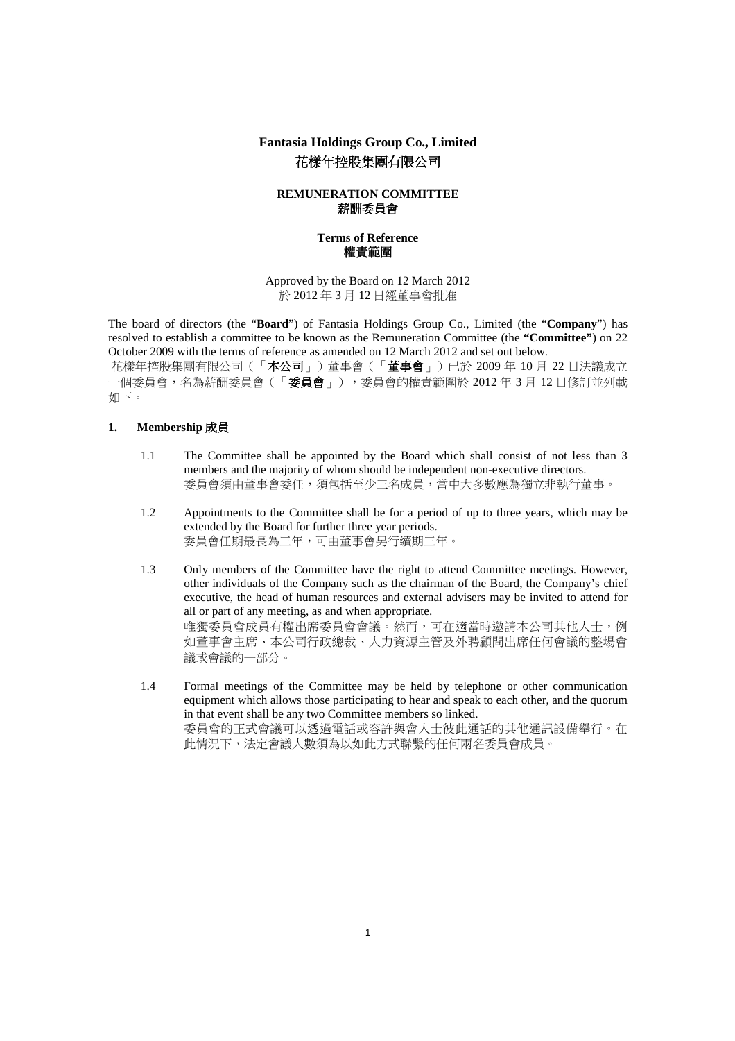# **Fantasia Holdings Group Co., Limited**  花樣年控股集團有限公司

## **REMUNERATION COMMITTEE**  薪酬委員會

## **Terms of Reference**  權責範圍

Approved by the Board on 12 March 2012 於 2012 年 3 月 12 日經董事會批准

The board of directors (the "**Board**") of Fantasia Holdings Group Co., Limited (the "**Company**") has resolved to establish a committee to be known as the Remuneration Committee (the **"Committee"**) on 22 October 2009 with the terms of reference as amended on 12 March 2012 and set out below.

花樣年控股集團有限公司(「本公司」)董事會(「董事會」)已於 2009 年 10 月 22 日決議成立 一個委員會,名為薪酬委員會(「委員會」),委員會的權責範圍於 2012 年 3 月 12 日修訂並列載 如下。

## **1. Membership** 成員

- 1.1 The Committee shall be appointed by the Board which shall consist of not less than 3 members and the majority of whom should be independent non-executive directors. 委員會須由董事會委任,須包括至少三名成員,當中大多數應為獨立非執行董事。
- 1.2 Appointments to the Committee shall be for a period of up to three years, which may be extended by the Board for further three year periods. 委員會任期最長為三年,可由董事會另行續期三年。
- 1.3 Only members of the Committee have the right to attend Committee meetings. However, other individuals of the Company such as the chairman of the Board, the Company's chief executive, the head of human resources and external advisers may be invited to attend for all or part of any meeting, as and when appropriate. 唯獨委員會成員有權出席委員會會議。然而,可在適當時邀請本公司其他人士,例 如董事會主席、本公司行政總裁、人力資源主管及外聘顧問出席任何會議的整場會 議或會議的一部分。
- 1.4 Formal meetings of the Committee may be held by telephone or other communication equipment which allows those participating to hear and speak to each other, and the quorum in that event shall be any two Committee members so linked. 委員會的正式會議可以透過電話或容許與會人士彼此通話的其他通訊設備舉行。在 此情況下,法定會議人數須為以如此方式聯繫的任何兩名委員會成員。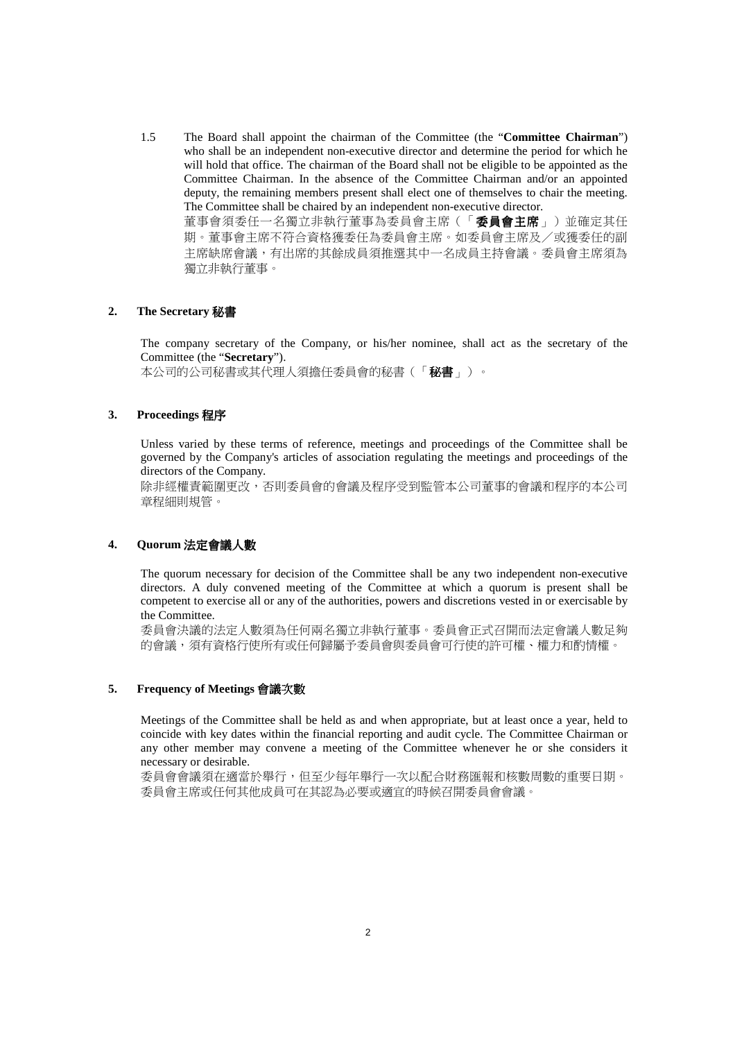1.5 The Board shall appoint the chairman of the Committee (the "**Committee Chairman**") who shall be an independent non-executive director and determine the period for which he will hold that office. The chairman of the Board shall not be eligible to be appointed as the Committee Chairman. In the absence of the Committee Chairman and/or an appointed deputy, the remaining members present shall elect one of themselves to chair the meeting. The Committee shall be chaired by an independent non-executive director. 董事會須委任一名獨立非執行董事為委員會主席(「委員會主席」)並確定其任 期。董事會主席不符合資格獲委任為委員會主席。如委員會主席及/或獲委任的副 主席缺席會議,有出席的其餘成員須推選其中一名成員主持會議。委員會主席須為 獨立非執行董事。

#### **2. The Secretary** 秘書

The company secretary of the Company, or his/her nominee, shall act as the secretary of the Committee (the "**Secretary**").

本公司的公司秘書或其代理人須擔任委員會的秘書(「秘書」)。

## **3. Proceedings** 程序

Unless varied by these terms of reference, meetings and proceedings of the Committee shall be governed by the Company's articles of association regulating the meetings and proceedings of the directors of the Company.

除非經權責範圍更改,否則委員會的會議及程序受到監管本公司董事的會議和程序的本公司 章程細則規管。

#### **4. Quorum** 法定會議人數

The quorum necessary for decision of the Committee shall be any two independent non-executive directors. A duly convened meeting of the Committee at which a quorum is present shall be competent to exercise all or any of the authorities, powers and discretions vested in or exercisable by the Committee.

委員會決議的法定人數須為任何兩名獨立非執行董事。委員會正式召開而法定會議人數足夠 的會議,須有資格行使所有或任何歸屬予委員會與委員會可行使的許可權、權力和酌情權。

## **5. Frequency of Meetings** 會議次數

Meetings of the Committee shall be held as and when appropriate, but at least once a year, held to coincide with key dates within the financial reporting and audit cycle. The Committee Chairman or any other member may convene a meeting of the Committee whenever he or she considers it necessary or desirable.

委員會會議須在適當於舉行,但至少每年舉行一次以配合財務匯報和核數周數的重要日期。 委員會主席或任何其他成員可在其認為必要或適宜的時候召開委員會會議。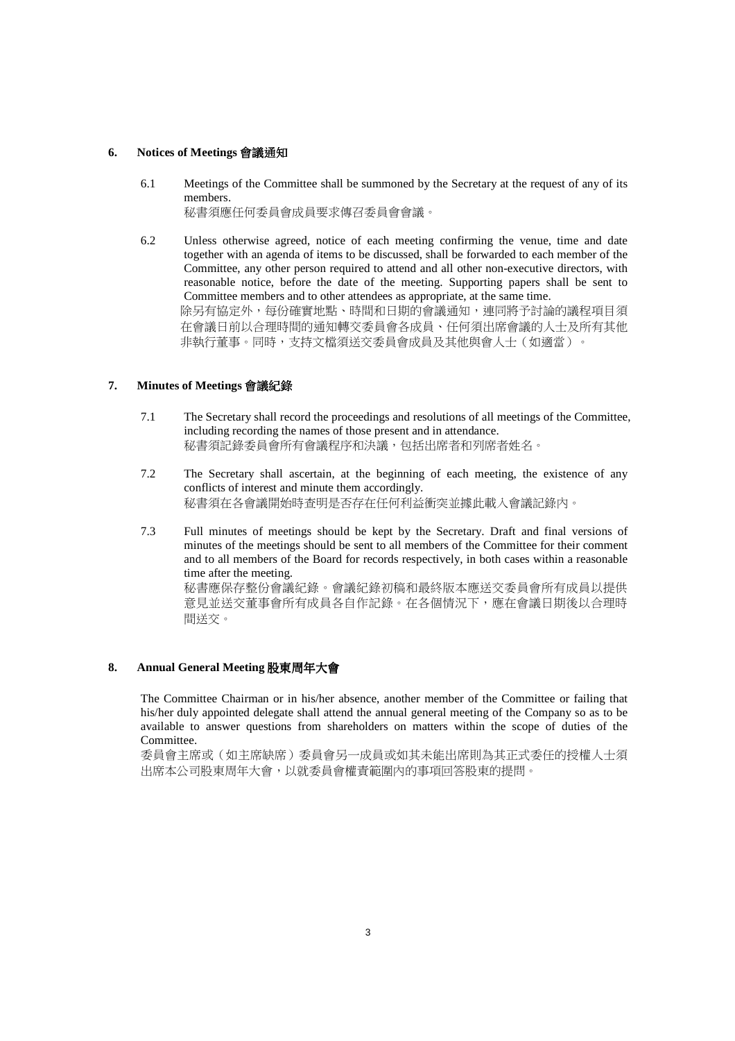#### **6. Notices of Meetings** 會議通知

- 6.1 Meetings of the Committee shall be summoned by the Secretary at the request of any of its members. 秘書須應任何委員會成員要求傳召委員會會議。
- 6.2 Unless otherwise agreed, notice of each meeting confirming the venue, time and date together with an agenda of items to be discussed, shall be forwarded to each member of the Committee, any other person required to attend and all other non-executive directors, with reasonable notice, before the date of the meeting. Supporting papers shall be sent to Committee members and to other attendees as appropriate, at the same time. 除另有協定外,每份確實地點、時間和日期的會議通知,連同將予討論的議程項目須 在會議日前以合理時間的通知轉交委員會各成員、任何須出席會議的人士及所有其他 非執行董事。同時,支持文檔須送交委員會成員及其他與會人士(如適當)。

## **7. Minutes of Meetings** 會議紀錄

- 7.1 The Secretary shall record the proceedings and resolutions of all meetings of the Committee, including recording the names of those present and in attendance. 秘書須記錄委員會所有會議程序和決議,包括出席者和列席者姓名。
- 7.2 The Secretary shall ascertain, at the beginning of each meeting, the existence of any conflicts of interest and minute them accordingly. 秘書須在各會議開始時查明是否存在任何利益衝突並據此載入會議記錄內。
- 7.3 Full minutes of meetings should be kept by the Secretary. Draft and final versions of minutes of the meetings should be sent to all members of the Committee for their comment and to all members of the Board for records respectively, in both cases within a reasonable time after the meeting. 秘書應保存整份會議紀錄。會議紀錄初稿和最終版本應送交委員會所有成員以提供

意見並送交董事會所有成員各自作記錄。在各個情況下,應在會議日期後以合理時 間送交。

# **8. Annual General Meeting** 股東周年大會

The Committee Chairman or in his/her absence, another member of the Committee or failing that his/her duly appointed delegate shall attend the annual general meeting of the Company so as to be available to answer questions from shareholders on matters within the scope of duties of the Committee.

委員會主席或(如主席缺席)委員會另一成員或如其未能出席則為其正式委任的授權人士須 出席本公司股東周年大會,以就委員會權責範圍內的事項回答股東的提問。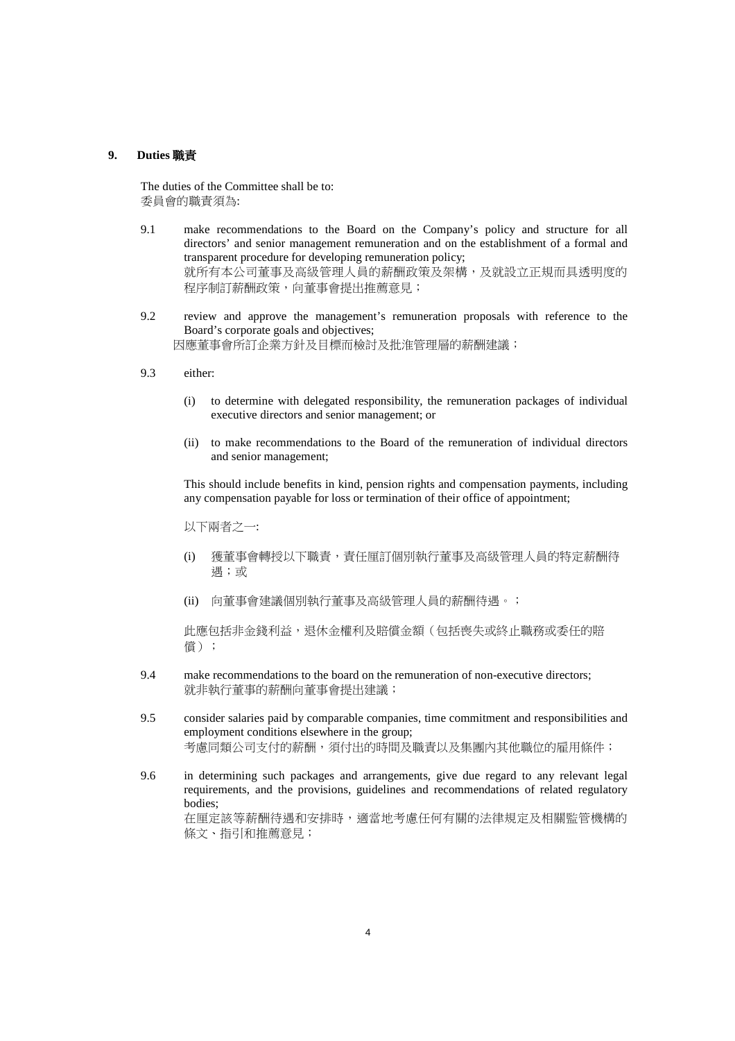#### **9. Duties** 職責

 The duties of the Committee shall be to: 委員會的職責須為:

- 9.1 make recommendations to the Board on the Company's policy and structure for all directors' and senior management remuneration and on the establishment of a formal and transparent procedure for developing remuneration policy; 就所有本公司董事及高級管理人員的薪酬政策及架構,及就設立正規而具透明度的 程序制訂薪酬政策,向董事會提出推薦意見;
- 9.2 review and approve the management's remuneration proposals with reference to the Board's corporate goals and objectives; 因應董事會所訂企業方針及目標而檢討及批淮管理層的薪酬建議;
- 9.3 either:
	- (i) to determine with delegated responsibility, the remuneration packages of individual executive directors and senior management; or
	- (ii) to make recommendations to the Board of the remuneration of individual directors and senior management;

This should include benefits in kind, pension rights and compensation payments, including any compensation payable for loss or termination of their office of appointment;

以下兩者之一:

- (i) 獲董事會轉授以下職責,責任厘訂個別執行董事及高級管理人員的特定薪酬待 遇;或
- (ii) 向董事會建議個別執行董事及高級管理人員的薪酬待遇。;

此應包括非金錢利益,退休金權利及賠償金額(包括喪失或終止職務或委任的賠 償);

- 9.4 make recommendations to the board on the remuneration of non-executive directors; 就非執行董事的薪酬向董事會提出建議;
- 9.5 consider salaries paid by comparable companies, time commitment and responsibilities and employment conditions elsewhere in the group; 考慮同類公司支付的薪酬,須付出的時間及職責以及集團內其他職位的雇用條件;
- 9.6 in determining such packages and arrangements, give due regard to any relevant legal requirements, and the provisions, guidelines and recommendations of related regulatory bodies; 在厘定該等薪酬待遇和安排時,適當地考慮任何有關的法律規定及相關監管機構的 條文、指引和推薦意見;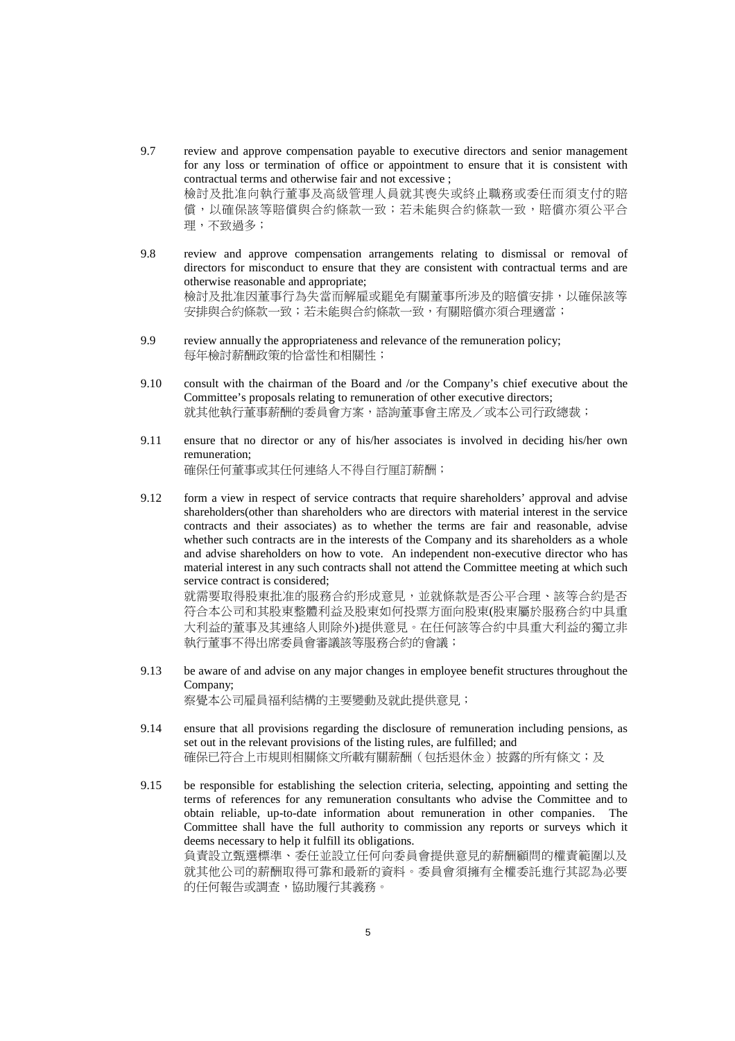- 9.7 review and approve compensation payable to executive directors and senior management for any loss or termination of office or appointment to ensure that it is consistent with contractual terms and otherwise fair and not excessive ; 檢討及批准向執行董事及高級管理人員就其喪失或終止職務或委任而須支付的賠 償,以確保該等賠償與合約條款一致;若未能與合約條款一致,賠償亦須公平合 理,不致過多;
- 9.8 review and approve compensation arrangements relating to dismissal or removal of directors for misconduct to ensure that they are consistent with contractual terms and are otherwise reasonable and appropriate; 檢討及批准因董事行為失當而解雇或罷免有關董事所涉及的賠償安排,以確保該等 安排與合約條款一致;若未能與合約條款一致,有關賠償亦須合理適當;
- 9.9 review annually the appropriateness and relevance of the remuneration policy; 每年檢討薪酬政策的恰當性和相關性;
- 9.10 consult with the chairman of the Board and /or the Company's chief executive about the Committee's proposals relating to remuneration of other executive directors; 就其他執行董事薪酬的委員會方案,諮詢董事會主席及/或本公司行政總裁;
- 9.11 ensure that no director or any of his/her associates is involved in deciding his/her own remuneration; 確保任何董事或其任何連絡人不得自行厘訂薪酬;
- 9.12 form a view in respect of service contracts that require shareholders' approval and advise shareholders(other than shareholders who are directors with material interest in the service contracts and their associates) as to whether the terms are fair and reasonable, advise whether such contracts are in the interests of the Company and its shareholders as a whole and advise shareholders on how to vote. An independent non-executive director who has material interest in any such contracts shall not attend the Committee meeting at which such service contract is considered; 就需要取得股東批准的服務合約形成意見,並就條款是否公平合理、該等合約是否 符合本公司和其股東整體利益及股東如何投票方面向股東(股東屬於服務合約中具重

大利益的董事及其連絡人則除外)提供意見。在任何該等合約中具重大利益的獨立非 執行董事不得出席委員會審議該等服務合約的會議;

- 9.13 be aware of and advise on any major changes in employee benefit structures throughout the Company; 察覺本公司雇員福利結構的主要變動及就此提供意見;
- 9.14 ensure that all provisions regarding the disclosure of remuneration including pensions, as set out in the relevant provisions of the listing rules, are fulfilled; and 確保已符合上市規則相關條文所載有關薪酬(包括退休金)披露的所有條文;及
- 9.15 be responsible for establishing the selection criteria, selecting, appointing and setting the terms of references for any remuneration consultants who advise the Committee and to obtain reliable, up-to-date information about remuneration in other companies. The Committee shall have the full authority to commission any reports or surveys which it deems necessary to help it fulfill its obligations. 負責設立甄選標準、委任並設立任何向委員會提供意見的薪酬顧問的權責範圍以及 就其他公司的薪酬取得可靠和最新的資料。委員會須擁有全權委託進行其認為必要 的任何報告或調查,協助履行其義務。